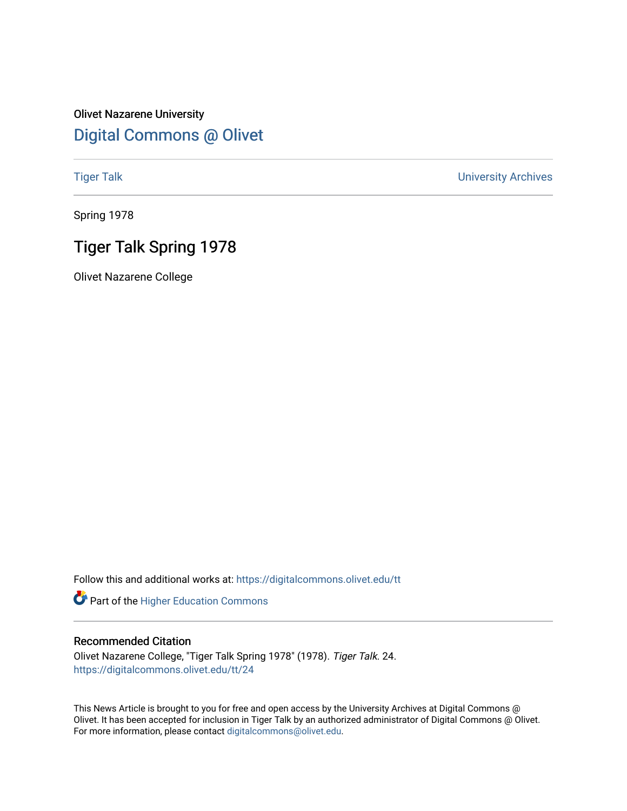## Olivet Nazarene University [Digital Commons @ Olivet](https://digitalcommons.olivet.edu/)

[Tiger Talk](https://digitalcommons.olivet.edu/tt) [University Archives](https://digitalcommons.olivet.edu/arch) 

Spring 1978

## Tiger Talk Spring 1978

Olivet Nazarene College

Follow this and additional works at: [https://digitalcommons.olivet.edu/tt](https://digitalcommons.olivet.edu/tt?utm_source=digitalcommons.olivet.edu%2Ftt%2F24&utm_medium=PDF&utm_campaign=PDFCoverPages) 

Part of the [Higher Education Commons](http://network.bepress.com/hgg/discipline/1245?utm_source=digitalcommons.olivet.edu%2Ftt%2F24&utm_medium=PDF&utm_campaign=PDFCoverPages) 

## Recommended Citation

Olivet Nazarene College, "Tiger Talk Spring 1978" (1978). Tiger Talk. 24. [https://digitalcommons.olivet.edu/tt/24](https://digitalcommons.olivet.edu/tt/24?utm_source=digitalcommons.olivet.edu%2Ftt%2F24&utm_medium=PDF&utm_campaign=PDFCoverPages)

This News Article is brought to you for free and open access by the University Archives at Digital Commons @ Olivet. It has been accepted for inclusion in Tiger Talk by an authorized administrator of Digital Commons @ Olivet. For more information, please contact [digitalcommons@olivet.edu](mailto:digitalcommons@olivet.edu).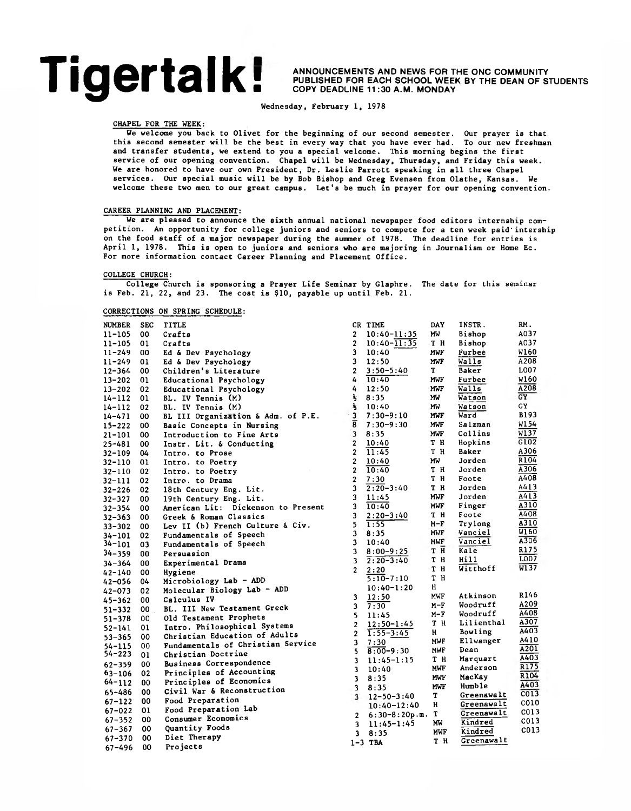# **Tigertalk**

 **ANNOUNCEMENTS AND NEWS FOR THE ONC COMMUNITY PUBLISHED FOR EACH SCHOOL WEEK BY THE DEAN OF STUDENTS ■ COPY DEADLINE 11 :30 A.M. MONDAY**

Wednesday, February 1, 1978

## CHAPEL FOR THE WEEK:

We welcome you back to Olivet for the beginning of our second semester. Our prayer is that this second semester will be the best in every way that you have ever had. To our new freshman and transfer students, we extend to you a special welcome. This morning begins the first service of our opening convention. Chapel will be Wednesday, Thursday, and Friday this week. We are honored to have our own President, Dr. Leslie Parrott speaking in all three Chapel services. Our special music will be by Bob Bishop and Greg Evensen from Olathe, Kansas. We welcome these two men to our great campus. Let's be much in prayer for our opening convention.

## CAREER PLANNING AND PLACEMENT:

We are pleased to announce the sixth annual national newspaper food editors internship competition. An opportunity for college juniors and seniors to compete for a ten week paid'intership on the food staff of a major newspaper during the summer of 1978. The deadline for entries is April 1, 1978. This is open to juniors and seniors who are majoring in Journalism or Home Ec. For more information contact Career Planning and Placement Office.

## COLLEGE CHURCH:

College Church is sponsoring a Prayer Life Seminar by Glaphre. The date for this seminar is Feb. 21, 22, and 23. The cost is \$10, payable up until Feb. 21.

## CORRECTIONS ON SPRING SCHEDULE:

| <b>NUMBER</b> | <b>SEC</b> | <b>TITLE</b>                       |                         | CR TIME          | <b>DAY</b> | INSTR.     | RM.               |
|---------------|------------|------------------------------------|-------------------------|------------------|------------|------------|-------------------|
| $11 - 105$    | 00         | Crafts                             | $\overline{2}$          | $10:40 - 11:35$  | MW         | Bishop     | A037              |
| 11-105        | 01         | Crafts                             | $\overline{2}$          | $10:40 - 11:35$  | TН         | Bishop     | A037              |
| $11 - 249$    | 00         | Ed & Dev Psychology                | 3                       | 10:40            | MWF        | Furbee     | W160              |
| $11 - 249$    | 01         | Ed & Dev Psychology                | 3                       | 12:50            | <b>MWF</b> | Walls      | A208              |
| $12 - 364$    | 00         | Children's Literature              | $\overline{2}$          | $3:50 - 5:40$    | T          | Baker      | L007              |
| $13 - 202$    | 01         | Educational Psychology             | 4                       | 10:40            | <b>MWF</b> | Furbee     | W160              |
| $13 - 202$    | 02         | Educational Psychology             | 4                       | 12:50            | <b>MWF</b> | Walls      | A208              |
| $14 - 112$    | 01         | <b>BL. IV Tennis (M)</b>           | $\frac{1}{2}$           | 8:35             | MW         | Watson     | GY                |
| $14 - 112$    | 02         | BL. IV Tennis (M)                  | $\frac{1}{2}$           | 10:40            | МW         | Watson     | GΥ                |
| $14 - 471$    | 00         | BL III Organization & Adm. of P.E. | $-3$                    | $7:30 - 9:10$    | MWF        | Ward       | B193              |
| $15 - 222$    | 00         | Basic Concepts in Nursing          | $\overline{\bf{8}}$     | $7:30 - 9:30$    | <b>MWF</b> | Salzman    | W1 54             |
| $21 - 101$    | 00         | Introduction to Fine Arts          | 3                       | 8:35             | <b>MWF</b> | Collins    | W137              |
| $25 - 481$    | 00         | Instr. Lit. & Conducting           | $\overline{\mathbf{2}}$ | 10:40            | тн         | Hopkins    | G102              |
| 32-109        | 04         | Intro. to Prose                    | $\overline{2}$          | 11:45            | тн         | Baker      | A306              |
| $32 - 110$    | 01         | Intro. to Poetry                   | $\overline{2}$          | 10:40            | MW         | Jorden     | R <sub>104</sub>  |
| $32 - 110$    | 02         | Intro. to Poetry                   | $\overline{2}$          | 10:40            | тн         | Jorden     | A306              |
| $32 - 111$    | 02         | Intro. to Drama                    | $\overline{2}$          | 7:30             | т н        | Foote      | A408              |
| $32 - 226$    | 02         | 18th Century Eng. Lit.             | 3                       | $2:20 - 3:40$    | T H        | Jorden     | A413              |
| $32 - 327$    | 00         | 19th Century Eng. Lit.             | 3                       | 11:45            | MWF        | Jorden     | $\overline{A413}$ |
| $32 - 354$    | 00         | American Lit: Dickenson to Present | 3                       | 10:40            | MWF        | Finger     | A310              |
| $32 - 363$    | 00         | Greek & Roman Classics             | 3                       | $2:20 - 3:40$    | тн         | Foote      | A408              |
| $33 - 302$    | 00         | Lev II (b) French Culture & Civ.   | 5                       | 1:55             | $M-F$      | Trylong    | $\overline{A310}$ |
| 34-101        | 02         | Fundamentals of Speech             | 3                       | 8:35             | MWF        | Vanciel    | $\overline{W160}$ |
| $34 - 101$    | 03         | Fundamentals of Speech             | 3                       | 10:40            | MWF        | Vanciel    | A306              |
| $34 - 359$    | 00         | Persuasion                         | 3                       | $8:00 - 9:25$    | T H        | Kale       | R175              |
| $34 - 364$    | 00         | Experimental Drama                 | 3                       | $2:20-3:40$      | T H        | Hill       | L007              |
| $42 - 140$    | 00         | Hygiene                            | $\overline{2}$          | 2:20             | T H        | Witthoff   | W137              |
| $42 - 056$    | 04         | Microbiology Lab - ADD             |                         | $5:10 - 7:10$    | тн         |            |                   |
| $42 - 073$    | 02         | Molecular Biology Lab - ADD        |                         | $10:40 - 1:20$   | H          |            |                   |
| $45 - 362$    | 00         | Calculus IV                        | 3.                      | 12:50            | <b>MWF</b> | Atkinson   | R146              |
| $51 - 332$    | 00         | BL. III New Testament Greek        | 3                       | 7:30             | M-F        | Woodruff   | A209              |
| $51 - 378$    | 00         | Old Testament Prophets             | 5                       | 11:45            | $M-F$      | Woodruff   | A408              |
| 52-141        | 01         | Intro. Philosophical Systems       | $\overline{2}$          | $12:50 - 1:45$   | T H        | Lilienthal | $\overline{A307}$ |
| $53 - 365$    | 00         | Christian Education of Adults      | $\overline{2}$          | $1:55 - 3:45$    | H.         | Bowling    | A403              |
| $54 - 115$    | 00         | Fundamentals of Christian Service  | 3                       | 7:30             | MWF        | Ellwanger  | A410              |
| $54 - 223$    | 01         | Christian Doctrine                 | 5.                      | $8:00 - 9:30$    | MWF        | Dean       | $\overline{A201}$ |
| $62 - 359$    | 00         | Business Correspondence            | 3                       | 11:45-1:15       | тн         | Marquart   | A403              |
| 63-106        | 02         | Principles of Accounting           | 3                       | 10:40            | MWF        | Anderson   | R175              |
| $64 - 112$    | 00         | Principles of Economics            | 3                       | 8:35             | MWF        | MacKay     | R104              |
| 65-486        | 00         | Civil War & Reconstruction         | 3                       | 8:35             | <b>MWF</b> | Humble     | A403              |
| $67 - 122$    | 00         | Food Preparation                   | $\overline{\mathbf{3}}$ | $12 - 50 - 3:40$ | т          | Greenawalt | CO13              |
| $67 - 022$    | 01         | Food Preparation Lab               |                         | $10:40 - 12:40$  | н          | Greenawalt | CO10              |
| $67 - 352$    | 00         | Consumer Economics                 | $\mathbf{2}$            | $6:30-8:20p.m.$  | т          | Greenawalt | CO13              |
| $67 - 367$    | 00         | Quantity Foods                     | 3                       | $11:45 - 1:45$   | <b>MW</b>  | Kindred    | C013              |
|               | 00         | Diet Therapy                       | 3                       | 8:35             | <b>MWF</b> | Kindred    | C013              |
| $67 - 370$    | 00         | Projects                           |                         | $1-3$ TBA        | тн         | Greenawalt |                   |
| $67 - 496$    |            |                                    |                         |                  |            |            |                   |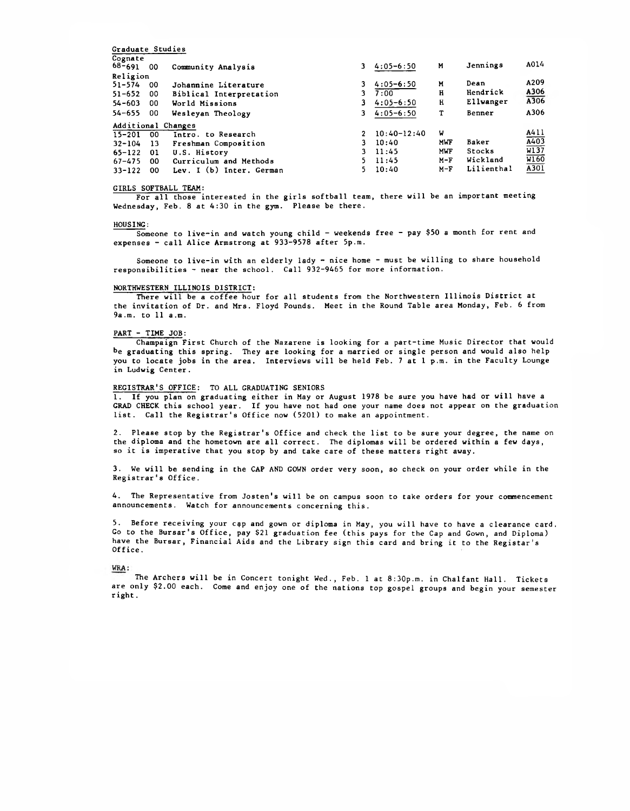| 00  | Community Analysis       |                                        | $4:05 - 6:50$ | M               | Jennings   | A014                                      |
|-----|--------------------------|----------------------------------------|---------------|-----------------|------------|-------------------------------------------|
|     |                          |                                        |               |                 |            |                                           |
| -00 | Johannine Literature     |                                        | $4:05 - 6:50$ | M               |            | A209                                      |
| -00 | Biblical Interpretation  | 3.                                     | 7:00          | H               |            | A306                                      |
| -00 | World Missions           |                                        | $4:05 - 6:50$ | H               | Ellwanger  | A306                                      |
| -00 | Wesleyan Theology        |                                        | $4:05 - 6:50$ | т               | Benner     | A306                                      |
|     |                          |                                        |               |                 |            |                                           |
| 00  | Intro. to Research       |                                        |               |                 |            | A411                                      |
| 13  | Freshman Composition     | 3.                                     | 10:40         | MWF             | Baker      | $\frac{\overline{A403}}{\overline{W137}}$ |
| 01  | U.S. History             | 3.                                     | 11:45         | <b>MWF</b>      | Stocks     |                                           |
| 00  | Curriculum and Methods   | 5.                                     | 11:45         | $M-F$           | Wickland   | $\overline{\text{W}160}$                  |
| 00  | Lev. I (b) Inter, German |                                        | 10:40         | $M-F$           | Lilienthal | $\overline{A301}$                         |
|     | Religion                 | Graduate Studies<br>Additional Changes |               | $10:40 - 12:40$ | v          | Dean<br>Hendrick                          |

## GIRLS SOFTBALL TEAM:

For all those interested in the girls softball team, there will be an important meeting Wednesday, Feb. 8 at 4:30 in the gym. Please be there.

#### $HOUS ING:$

Someone to live-in and watch young child - weekends free - pay \$50 a month for rent and expenses - call Alice Armstrong at 933-9578 after 5p.m.

Someone to live-in with an elderly lady  $-$  nice home  $-$  must be willing to share household responsibilities - near the school. Call 932-9465 for more information.

## **NORTHWESTERN ILLINOIS DISTRICT:**

There will be a coffee hour for all students from the Northwestern Illinois District at the invitation of Dr. and Mrs. Floyd Pounds. Meet in the Round Table area Monday, Feb. 6 from 9a.m. to 11 a.m.

## PART - TIME JOB:

Champaign First Church of the Nazarene is looking for a part-time Music Director that would be graduating this spring. They are looking for a married or single person and would also help you to locate jobs in the area. Interviews will be held Feb. 7 at 1 p.m. in the Faculty Lounge in Ludwig Center.

## REGISTRAR'S OFFICE: TO ALL GRADUATING SENIORS

1. If you plan on graduating either in May or August 1978 be sure you have had or will have a GRAD CHECK this school year. If you have not had one your name does not appear on the graduation list. Call the Registrar's Office now (5201) to make an appointment.

2. Please stop by the Registrar's Office and check the list to be sure your degree, the name on the diploma and the hometown are all correct. The diplomas will be ordered within a few days, so it is imperative that you stop by and take care of these matters right away.

3. We will be sending in the CAP AND GOWN order very soon, so check on your order while in the Registrar's Office.

4. The Representative from Josten's will be on campus soon to take orders for your commencement announcements. Watch for announcements concerning this.

5. Before receiving your cap and gown or diploma in May, you will have to have a clearance card. Go to the Bursar's Office, pay \$21 graduation fee (this pays for the Cap and Gown, and Diploma) have the Bursar, Financial Aids and the Library sign this card and bring it to the Registar's Office.

### WRA:

The Archers will be in Concert tonight Wed., Feb. 1 at 8:30p.m. in Chalfant Hall. Tickets are only \$2.00 each. Come and enjoy one of the nations top gospel groups and begin your semester right.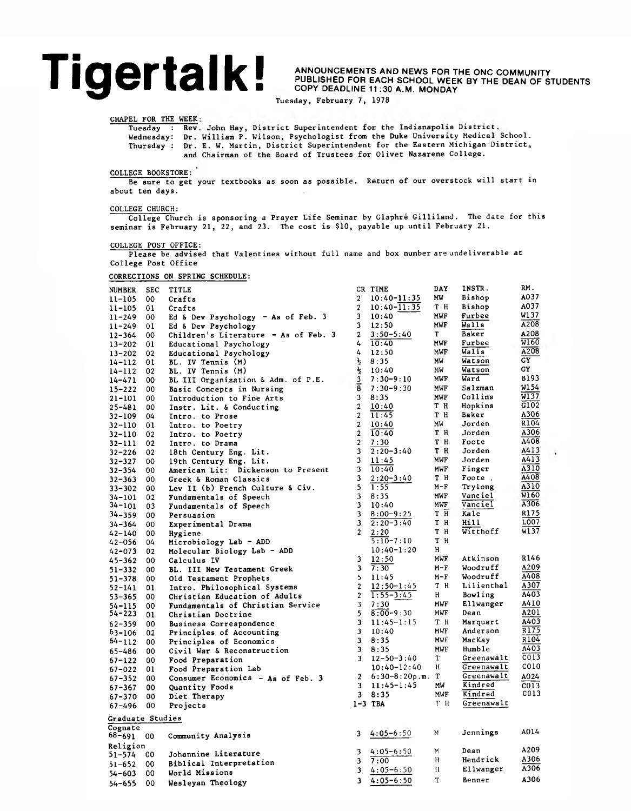## **Tigertalk!**

**ANNOUNCEMENTS AND NEWS FOR THE ONC COMMUNITY PUBLISHED FOR EACH SCHOOL WEEK BY THE DEAN OF STUDENTS COPY DEADLINE 11 :30 A.M. MONDAY**

Tuesday, February 7, 1978

CHAPEL FOR THE WEEK

Tuesday : Rev. John Hay, District Superintendent for the Indianapolis District. Wednesday: Dr. liam P. Wilson, Psychologist from the Duke University Medical School. Thursday : Dr. W. Martin, District Superintendent for the Eastern Michigan District, and Chairman of the Board of Trustees for Olivet Nazarene College.

## COLLEGE BOOKSTORE:

Be sure to get your textbooks as soon as possible. Return of our overstock will start in about ten days.

## COLLEGE CHURCH:

College Church is sponsoring a Prayer Life Seminar by Glaphrè Gilliland. The date for this seminar is February 21, 22, and 23. The cost is \$10, payable up until February 21.

COLLEGE POST OFFICE:

Please be advised that Valentines without full name and box number are undeliverable at College Post Office

## CORRECTIONS ON SPRING SCHEDULE:

| <b>NUMBER</b>    | <b>SEC</b> | <b>TITLE</b>                                          |                         | CR TIME          | DAY        | INSTR.     | RM.              |
|------------------|------------|-------------------------------------------------------|-------------------------|------------------|------------|------------|------------------|
| $11 - 105$       | 00         | Crafts                                                | $\overline{2}$          | $10:40 - 11:35$  | МW         | Bishop     | A037             |
| $11 - 105$       | 01         | Crafts                                                | $\overline{c}$          | $10:40 - 11:35$  | тн         | Bishop     | A037             |
| $11 - 249$       | 00         | Ed & Dev Psychology $-$ As of Feb. 3                  | 3                       | 10:40            | <b>MWF</b> | Furbee     | W137             |
| $11 - 249$       | 01         | Ed & Dev Psychology                                   | 3                       | 12:50            | MWF        | Walls      | A208             |
| $12 - 364$       | 00         | Children's Literature - As of Feb. 3                  | $\overline{a}$          | $3:50 - 5:40$    | T          | Baker      | A208             |
| $13 - 202$       | 01         | Educational Psychology                                | 4                       | 10:40            | MWF        | Furbee     | W160             |
| $13 - 202$       | 02         | Educational Psychology                                | 4                       | 12:50            | MWF        | Walls      | A208             |
| $14 - 112$       | 01         | BL. IV Tennis (M)                                     | ¥                       | 8:35             | MW         | Watson     | GY               |
| $14 - 112$       | 02         | BL. IV Tennis (M)                                     | $\frac{1}{2}$           | 10:40            | MW         | Watson     | GY               |
| $14 - 471$       | 00         | BL III Organization & Adm. of P.E.                    | 3                       | $7:30 - 9:10$    | <b>MWF</b> | Ward       | B193             |
| $15 - 222$       | 00         | Basic Concepts in Nursing                             | 8                       | $7:30 - 9:30$    | MWF        | Salzman    | W1 54            |
| $21 - 101$       | 00         | Introduction to Fine Arts                             | 3                       | 8:35             | <b>MWF</b> | Collins    | W137             |
| $25 - 481$       | 00         | Instr. Lit. & Conducting                              | $\overline{2}$          | 10:40            | тн         | Hopkins    | G102             |
| $32 - 109$       | 04         | Intro. to Prose                                       | $\overline{2}$          | 11:45            | тн         | Baker      | A306             |
| $32 - 110$       | 01         | Intro. to Poetry                                      | $\overline{2}$          | 10:40            | MW         | Jorden     | R104             |
| $32 - 110$       | 02         | Intro. to Poetry                                      | $\overline{2}$          | 10:40            | T H        | Jorden     | A306             |
| $32 - 111$       | 02         | Intro. to Drama                                       | $\overline{2}$          | 7:30             | T H        | Foote      | A408             |
| $32 - 226$       | 02         | 18th Century Eng. Lit.                                | 3                       | $2:20 - 3:40$    | т н        | Jorden     | A413             |
| $32 - 327$       | 00         | 19th Century Eng. Lit.                                | 3                       | 11:45            | MWF        | Jorden     | A413             |
| $32 - 354$       | 00         | American Lit: Dickenson to Present                    | 3                       | 10:40            | MWF        | Finger     | A310             |
| $32 - 363$       | 00         | Greek & Roman Classics                                | 3                       | $2:20 - 3:40$    | тн         | Foote,     | A408             |
| $33 - 302$       | 00         | Lev II (b) French Culture & Civ.                      | 5                       | 1:55             | $M-F$      | Trylong    | A310             |
| 34-101           | 02         |                                                       | 3                       | 8:35             | MWF        | Vanciel    | W160             |
| $34 - 101$       | 03         | Fundamentals of Speech<br>Fundamentals of Speech      | 3                       | 10:40            | MWF        | Vanciel    | A306             |
| $34 - 359$       |            |                                                       | 3                       | $8:00 - 9:25$    | тн         | Kale       | R175             |
| $34 - 364$       | 00<br>00   | Persuasion<br>Experimental Drama                      | 3                       | $2:20-3:40$      | тн         | Hill       | L007             |
|                  | 00         |                                                       | $\overline{2}$          | 2:20             | T H        | Witthoff   | W137             |
| 42-140<br>42-056 | 04         | Hygiene                                               |                         | $5:10 - 7:10$    | T H        |            |                  |
| $42 - 073$       | 02         | Microbiology Lab - ADD<br>Molecular Biology Lab - ADD |                         | $10:40 - 1:20$   | H          |            |                  |
| $45 - 362$       | 00         | Calculus IV                                           | 3                       | 12:50            | MWF        | Atkinson   | R146             |
| $51 - 332$       | oo.        | BL. III New Testament Greek                           | 3                       | 7:30             | M-F        | Woodruff   | A209             |
| $51 - 378$       | 00         | Old Testament Prophets                                | 5                       | 11:45            | $M-F$      | Woodruff   | A408             |
| 52-141           | 01         | Intro. Philosophical Systems                          | $\overline{c}$          | $12:50-1:45$     | T H        | Lilienthal | A307             |
| $53 - 365$       | 00         | Christian Education of Adults                         | $\overline{\mathbf{c}}$ | $1:55 - 3:45$    | H          | Bowling    | A403             |
| $54 - 115$       | 00         | Fundamentals of Christian Service                     | 3                       | 7:30             | MWF        | Ellwanger  | A410             |
| 54-223           | 01         | Christian Doctrine                                    | 5                       | $8:00 - 9:30$    | MWF        | Dean       | A201             |
| $62 - 359$       | 00         | Business Correspondence                               | 3                       | $11:45-1:15$     | тн         | Marquart   | A403             |
| 63–106           | 02         | Principles of Accounting                              | 3                       | 10:40            | MWF        | Anderson   | R175             |
| $64 - 112$       | 00         | Principles of Economics                               | 3                       | 8:35             | MWF        | MacKay     | R104             |
| $65 - 486$       | 00         | Civil War & Reconstruction                            | 3                       | 8:35             | MWF        | Humble     | A403             |
| $67 - 122$       | 00         | Food Preparation                                      | 3                       | $12 - 50 - 3:40$ | т          | Greenawalt | C <sub>013</sub> |
| $67 - 022$       | 01         | Food Preparation Lab                                  |                         | $10:40 - 12:40$  | н          | Greenawalt | C010             |
|                  | 00         |                                                       | 2                       | $6:30-8:20p.m.$  | т          | Greenawalt | A024             |
| $67 - 352$       |            | Consumer Economics - As of Feb. 3<br>Quantity Foods   | 3                       | $11:45-1:45$     | МW         | Kindred    | C013             |
| $67 - 367$       | 00         |                                                       | 3                       | 8:35             | MWF        | Kindred    | C013             |
| 67-370           | 00         | Diet Therapy                                          |                         | $1-3$ TBA        | T H        | Greenawalt |                  |
| $67 - 496$       | 00         | Projects                                              |                         |                  |            |            |                  |
| Graduate Studies |            |                                                       |                         |                  |            |            |                  |
| Cognate          |            |                                                       |                         |                  |            |            | A014             |
| 68-691           | -00        | Community Analysis                                    | 3                       | $4:05-6:50$      | М          | Jennings   |                  |
| Religion         |            |                                                       |                         |                  |            |            | A209             |
| 51-574           | 00         | Johannine Literature                                  | 3                       | $4:05 - 6:50$    | M          | Dean       | A306             |
| $51 - 652$       | 00         | Biblical Interpretation                               | 3                       | 7:00             | н          | Hendrick   | A306             |
| $54 - 603$       | 00         | World Missions                                        | 3                       | $4:05 - 6:50$    | п          | Ellwanger  |                  |
| $54 - 655$       | 00         | Wesleyan Theology                                     | 3                       | $4:05 - 6:50$    | T          | Benner     | A306             |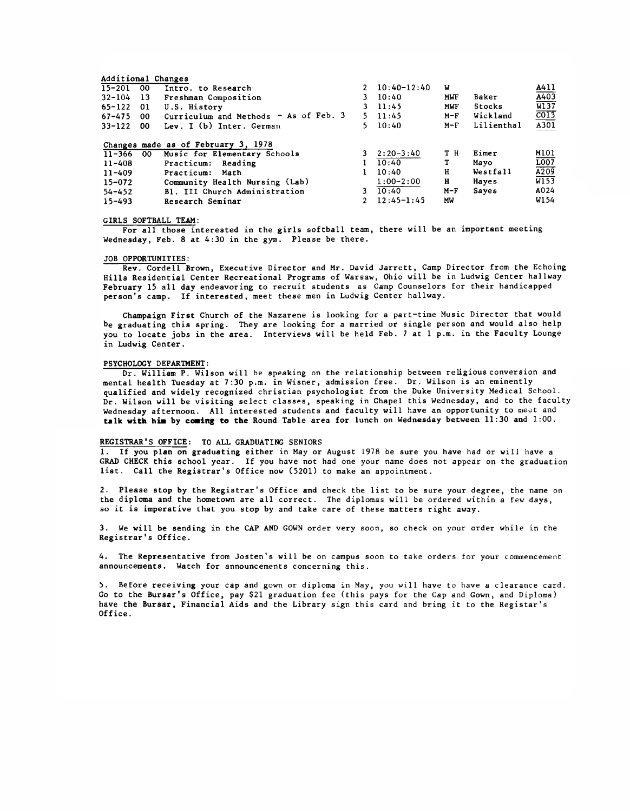| 00  | Intro. to Research                      |                                                                                           |             | W                                                                                                                                                                      |               | A411              |
|-----|-----------------------------------------|-------------------------------------------------------------------------------------------|-------------|------------------------------------------------------------------------------------------------------------------------------------------------------------------------|---------------|-------------------|
| -13 | Freshman Composition                    |                                                                                           |             | MWF                                                                                                                                                                    | Baker         | A403              |
| 01  | U.S. History                            |                                                                                           |             | MWF                                                                                                                                                                    | <b>Stocks</b> | W137              |
| -00 | Curriculum and Methods $-$ As of Feb. 3 |                                                                                           |             | $M-F$                                                                                                                                                                  | Wickland      | $\overline{CO13}$ |
| -00 | Lev. I (b) Inter. German                |                                                                                           |             | $M-F$                                                                                                                                                                  | Lilienthal    | A301              |
|     |                                         |                                                                                           |             |                                                                                                                                                                        |               | M101              |
|     | Practicum: Reading                      |                                                                                           | 10:40       | т                                                                                                                                                                      | Mayo          | LOO7              |
|     | Practicum: Math                         |                                                                                           |             |                                                                                                                                                                        |               | A209              |
|     | Community Health Nursing (Lab)          |                                                                                           | $1:00-2:00$ | н                                                                                                                                                                      | Hayes         | W153              |
|     | B1. III Church Administration           |                                                                                           |             | $M-F$                                                                                                                                                                  | Sayes         | A024              |
|     | Research Seminar                        |                                                                                           |             | МW                                                                                                                                                                     |               | W154              |
|     | -00<br>$11 - 366$                       | Additional Changes<br>Changes made as of February 3, 1978<br>Music for Elementary Schools |             | $2\quad 10:40-12:40$<br>$3 \quad 10:40$<br>$3 \quad 11:45$<br>$5 \quad 11:45$<br>$5 \quad 10:40$<br>$3 \quad 2:20-3:40$<br>10:40<br>10:40<br>3<br>$2 \quad 12:45-1:45$ | тн<br>н       | Eimer<br>Westfall |

### GIRLS SOFTBALL TEAM:

For all those interested in the girls softball team, there will be an important meeting Wednesday, Feb. 8 at 4:30 in the gym. Please be there.

## JOB OPPORTUNITIES:

Rev. Cordell Brown, Executive Director and Mr. David Jarrett, Camp Director from the Echoing Hills Residential Center Recreational Programs of Warsaw, Ohio will be in Ludwig Center hallway February 15 all day endeavoring to recruit students as Camp Counselors for their handicapped person's camp. If interested, meet these men in Ludwig Center hallway.

Champaign First Church of the Nazarene is looking for a part-time Music Director that would be graduating this spring. They are looking for a married or single person and would also help you to locate jobs in the area. Interviews will be held Feb. 7 at 1 p.m. in the Faculty Lounge in Ludwig Center.

## PSYCHOLOGY DEPARTMENT:

Dr. William P. Wilson will be speaking on the relationship between religious conversion and mental health Tuesday at 7:30 p.m. in Wisner, admission free. Dr. Wilson is an eminently qualified and widely recognized Christian psychologist from the Duke University Medical School. Dr. Wilson will be visiting select classes, speaking in Chapel this Wednesday, and to the faculty Wednesday afternoon. All interested students and faculty will have an opportunity to meet and talk **with** him by **casing to the** Round Table area for lunch on Wednesday between 11:30 and 1:00.

### REGISTRAR'S OFFICE: TO ALL GRADUATING SENIORS

1. If you plan on graduating either in May or August 1978 be sure you have had or will have a GRAD CHECK this school year. If you have not had one your name does not appear on the graduation list. Call the Registrar's Office now (5201) to make an appointment.

2. Please stop by the Registrar's Office and check the list to be sure your degree, the name on the diploma and the hometown are all correct. The diplomas will be ordered within a few days, so it is imperative that you stop by and take care of these matters right away.

3. We will be sending in the CAP AND GOWN order very soon, so check on your order while in the Registrar's Office.

4. The Representative from Josten's will be on campus soon to take orders for your commencement announcements. Watch for announcements concerning this.

5. Before receiving your cap and gown or diploma in May, you will have to have a clearance card. Go to the Bursar's Office, pay \$21 graduation fee (this pays for the Cap and Gown, and Diploma) have the Bursar, Financial Aids and the Library sign this card and bring it to the Registar's Office.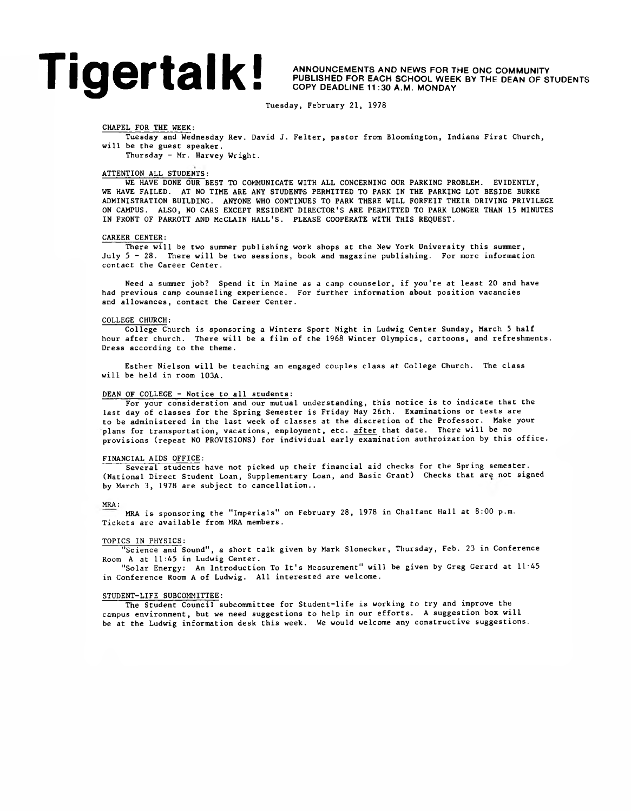## **Tigertalk**<br>**ANNOUNCEMENTS AND NEWS FOR THE ONC COMMUNITY**<br>COPY DEADLINE 11:30 A.M. MONDAY

**PUBLISHED FOR EACH SCHOOL WEEK BY THE DEAN OF STUDENTS COPY DEADLINE 11 :30 A.M. MONDAY**

Tuesday, February 21, 1978

## CHAPEL FOR THE WEEK:

Tuesday and Wednesday Rev. David J. Felter, pastor from Bloomington, Indiana First Church, will be the guest speaker.

Thursday - Mr. Harvey Wright.

## ATTENTION ALL STUDENTS:

WE HAVE DONE OUR BEST TO COMMUNICATE WITH ALL CONCERNING OUR PARKING PROBLEM. EVIDENTLY, WE HAVE FAILED. AT NO TIME ARE ANY STUDENTS PERMITTED TO PARK IN THE PARKING LOT BESIDE BURKE ADMINISTRATION BUILDING. ANYONE WHO CONTINUES TO PARK THERE WILL FORFEIT THEIR DRIVING PRIVILEGE ON CAMPUS. ALSO, NO CARS EXCEPT RESIDENT DIRECTOR'S ARE PERMITTED TO PARK LONGER THAN 15 MINUTES IN FRONT OF PARROTT AND McCLAIN HALL'S. PLEASE COOPERATE WITH THIS REQUEST.

#### CAREER CENTER:

There will be two summer publishing work shops at the New York University this summer, July 5 - 28. There will be two sessions, book and magazine publishing. For more information contact the Career Center.

Need a summer job? Spend it in Maine as a camp counselor, if you're at least 20 and have had previous camp counseling experience. For further information about position vacancies and allowances, contact the Career Center.

## COLLEGE CHURCH:

College Church is sponsoring a Winters Sport Night in Ludwig Center Sunday, March 5 half hour after church. There will be a film of the 1968 Winter Olympics, cartoons, and refreshments. Dress according to the theme.

Esther Nielson will be teaching an engaged couples class at College Church. The class will be held in room 103A.

## DEAN OF COLLEGE - Notice to all students:

For your consideration and our mutual understanding, this notice is to indicate that the last day of classes for the Spring Semester is Friday May 26th. Examinations or tests are to be administered in the last week of classes at the discretion of the Professor. Make your plans for transportation, vacations, employment, etc. after that date. There will be no provisions (repeat NO PROVISIONS) for individual early examination authroization by this office.

## FINANCIAL AIDS OFFICE:

Several students have not picked up their financial aid checks for the Spring semester. (National Direct Student Loan, Supplementary Loan, and Basic Grant) Checks that are not signed by March 3, 1978 are subject to cancellation..

## MRA:

MRA is sponsoring the "Imperials" on February 28, 1978 in Chalfant Hall at 8:00 p.m. Tickets are available from MRA members.

### TOPICS IN PHYSICS:

"Science and Sound", a short talk given by Mark Slonecker, Thursday, Feb. 23 in Conference Room A at 11:45 in Ludwig Center.

"Solar Energy: An Introduction To It's Measurement" will be given by Greg Gerard at 11:45 in Conference Room A of Ludwig. All interested are welcome.

## STUDENT-LIFE SUBCOMMITTEE:

The Student Council subcommittee for Student-life is working to try and improve the campus environment, but we need suggestions to help in our efforts. A suggestion box will be at the Ludwig information desk this week. We would welcome any constructive suggestions.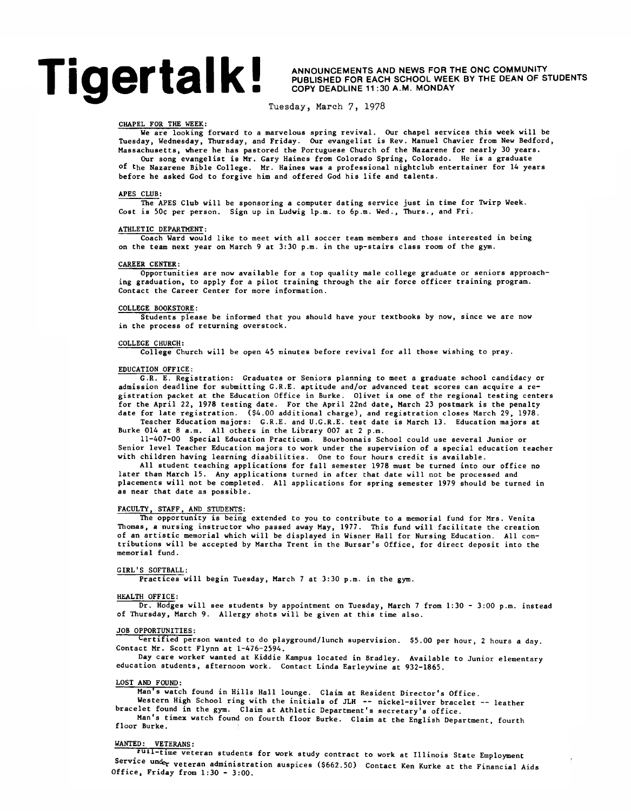# **Tigertalk!**

**ANNOUNCEMENTS AND NEWS FOR THE ONC COMMUNITY PUBLISHED FOR EACH SCHOOL WEEK BY THE DEAN OF STUDENTS COPY DEADLINE 11 :30 A.M. MONDAY**

**Tuesday, March 7> 1978**

## CHAPEL FOR THE WEEK:

We are looking forward to a marvelous spring revival. Our chapel services this week will be Tuesday, Wednesday, Thursday, and Friday. Our evangelist is Rev. Manuel Chavier from New Bedford, Massachusetts, where he has pastored the Portuguese Church of the Nazarene for nearly 30 years. Our song evangelist is Mr. Gary Haines from Colorado Spring, Colorado. He is a graduate

°f the Nazarene Bible College. Mr. Haines was a professional nightclub entertainer for 14 years before he asked God to forgive him and offered God his life and talents.

## APES CLUB:

The APES Club will be sponsoring a computer dating service just in time for Twirp Week. Cost is 50c per person. Sign up in Ludwig 1p.m. to 6p.m. Wed., Thurs., and Fri.

## ATHLETIC DEPARTMENT:

Coach Ward would like to meet with all soccer team members and those interested in being on the team next year on March 9 at 3:30 p.m. in the up-stairs class room of the gym.

## CAREER CENTER:

Opportunities are now available for a top quality male college graduate or seniors approaching graduation, to apply for a pilot training through the air force officer training program. Contact the Career Center for more information.

#### COLLEGE BOOKSTORE:

Students please be informed that you should have your textbooks by now, since we are now in the process of returning overstock.

#### COLLEGE CHURCH:

College Church will be open 45 minutes before revival for all those wishing to pray.

## EDUCATION OFFICE:

G.R. E. Registration: Graduates or Seniors planning to meet a graduate school candidacy or admission deadline for submitting G.R.E. aptitude and/or advanced test scores can acquire a registration packet at the Education Office in Burke. Olivet is one of the regional testing centers for the April 22, 1978 testing date. For the April 22nd date, March 23 postmark is the penalty date for late registration. (\$4.00 additional charge), and registration closes March 29, 1978.

Teacher Education majors: G.R.E. and U.G.R.E. test date is March 13. Education majors at Burke 014 at 8 a.m. All others in the Library 007 at 2 p.m. 11-407-00 Special Education Practicum. Bourbonnais School could use several Junior or

Senior level Teacher Education majors to work under the supervision of a special education teacher with children having learning disabilities. One to four hours credit is available.

All student teaching applications for fall semester 1978 must be turned into our office no later than March 15. Any applications turned in after that date will not be processed and placements will not be completed. All applications for spring semester 1979 should be turned in as near that date as possible.

## FACULTY, STAFF, AND STUDENTS:

The opportunity is being extended to you to contribute to a memorial fund for Mrs. Venita Thomas, a nursing instructor who passed away May, 1977. This fund will facilitate the creation of an artistic memorial which will be displayed in Wisner Hall for Nursing Education. All contributions will be accepted by Martha Trent in the Bursar's Office, for direct deposit into the memorial fund.

#### GIRL'S SOFTBALL:

Practices will begin Tuesday, March 7 at 3:30 p.m. in the gym.

#### HEALTH OFFICE:

Dr. Hodges will see students by appointment on Tuesday, March 7 from 1:30 - 3:00 p.m. instead of Thursday, March 9. Allergy shots will be given at this time also.

## JOB OPPORTUNITIES:

Certified person wanted to do playground/lunch supervision. \$5.00 per hour, 2 hours a day. Contact Mr. Scott Flynn at 1-476-2594.

Day care worker wanted at Kiddie Kampus located in Bradley. Available to Junior elementary education students, afternoon work. Contact Linda Earleywine at 932-1865.

#### LOST AND FOUND:

Man's watch found in Hills Hall lounge. Claim at Resident Director's Office.

Western High School ring with the initials of JLH -- nickel-silver bracelet -- leather bracelet found in the gym. Claim at Athletic Department's secretary's office.

Man's timex watch found on fourth floor Burke. Claim at the English Department, fourth floor Burke.

## WANTED: VETERANS:

\*uii-time veteran students for work study contract to work at Illinois State Employment Service und<sub>er</sub> veteran administration auspices (\$662.50) Contact Ken Kurke at the Financial Aids Office, Friday from 1:30 - 3:00.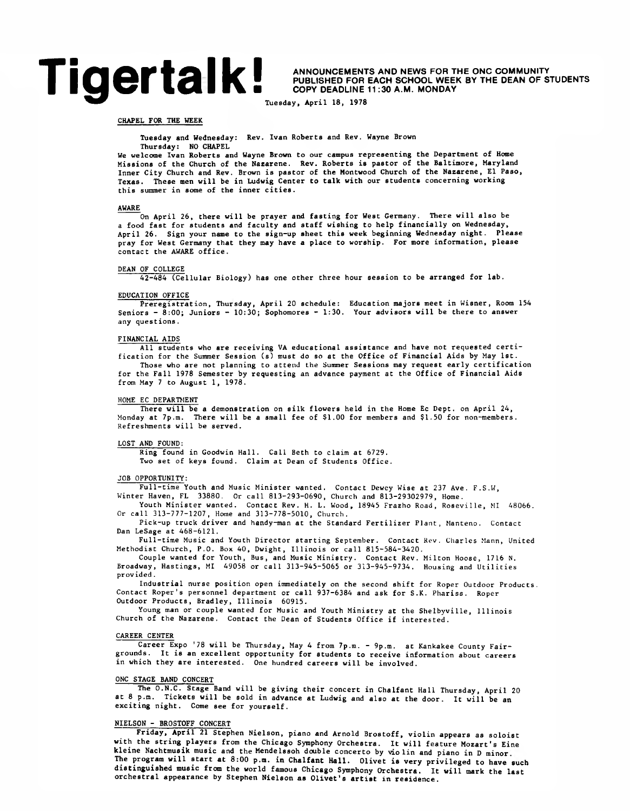# **Tigertalk**<br>**ANNOUNCEMENTS AND NEWS FOR THE ONC COMMUNITY**<br>COPY DEADLINE 11:30 A.M. MONDAY

**PUBLISHED FOR EACH SCHOOL WEEK BY THE DEAN OF STUDENTS COPY DEADLINE 11:30 A.M. MONDAY**

Tuesday, April 18, 1978

## CHAPEL FOR THE WEEK

Tuesday and Wednesday: Rev. Ivan Roberts and Rev. Wayne Brown

#### Thursday: NO CHAPEL

We welcome Ivan Roberts and Wayne Brown to our campus representing the Department of Home Missions of the Church of the Nazarene. Rev. Roberts is pastor of the Baltimore, Maryland Inner City Church and Rev. Brown is pastor of the Montwood Church of the Nazarene, El Paso, Texas. These men will be in Ludwig Center to talk with our students concerning working this summer in some of the inner cities.

### AWARE

On April 26, there will be prayer and fasting for West Germany. There will also be a food fast for students and faculty and staff wishing to help financially on Wednesday, April 26. Sign your name to the sign-up sheet this week beginning Wednesday night. Please pray for West Germany that they may have a place to worship. For more information, please contact the AWARE office.

## DEAN OF COLLEGE

42-484 (Cellular Biology) has one other three hour session to be arranged for lab.

## EDUCATION OFFICE

Preregistration, Thursday, April 20 schedule: Education majors meet in Wisner, Room 154 Seniors - 8:00; Juniors - 10:30; Sophomores - 1:30. Your advisors will be there to answer any questions.

## FINANCIAL AIDS

All students who are receiving VA educational assistance and have not requested certification for the Summer Session (s) must do so at the Office of Financial Aids by May 1st. Those who are not planning to attend the Summer Sessions may request early certification for the Fall 1978 Semester by requesting an advance payment at the Office of Financial Aids from May 7 to August 1, 1978.

### HOME EC DEPARTMENT

There will be a demonstration on silk flowers held in the Home Ec Dept, on April 24, Monday at 7p.m. There will be a small fee of \$1.00 for members and SI-50 for non-members. Refreshments will be served.

#### LOST AND FOUND:

Ring found in Goodwin Hall. Call Beth to claim at 6729. Two set of keys found. Claim at Dean of Students Office.

## JOB OPPORTUNITY:

Full-time Youth and Music Minister wanted. Contact Dewey Wise at 237 Ave. F.S.W, Winter Haven, FL 33880. Or call 813-293-0690, Church and 813-29302979, Home.

Youth Minister wanted. Contact Rev. H. L. Wood, 18945 Frazho Road, Roseville, MI 48066. Or call 313-777-1207, Home and 313-778-5010, Church.

Pick-up truck driver and handy-man at the Standard Fertilizer Plant, Manteno. Contact Dan LeSage at 468-6121.

Full-time Music and Youth Director starting September. Contact Kev. Charles Mann, United Methodist Church, P.O. Box 40, Dwight, Illinois or call 815-584-3420.

Couple wanted for Youth, Bus, and Music Ministry. Contact Rev. Milton Hoose, 1716 N. Broadway, Hastings, MI 49058 or call 313-945-5065 or 313-945-9734. Housing and Utilities provided.

Industrial nurse position open immediately on the second shift for Roper Outdoor Products. Contact Roper's personnel department or call 937-6384 and ask for S.K. Phariss. Roper Outdoor Products, Bradley, Illinois 60915.

Young man or couple wanted for Music and Youth Ministry at the Shelbyville, Illinois Church of the Nazarene. Contact the Dean of Students Office if interested.

### CAREER CENTER

Career Expo '78 will be Thursday, May 4 from 7p.m. - 9p.m. at Kankakee County Fairgrounds. It is an excellent opportunity for students to receive information about careers in which they are interested. One hundred careers will be involved.

## ONC STAGE BAND CONCERT

The O.N.C. Stage Band will be giving their concert in Chalfant Hall Thursday, April 20 at 8 p.m. Tickets will be sold in advance at Ludwig and also at the door. It will be an exciting night. Come see for yourself.

## NIELSON - BROSTOFF CONCERT

Friday, April 21 Stephen Nielson, piano and Arnold Brostoff, violin appears as soloist with the string players from the Chicago Symphony Orchestra. It will feature Mozart's Eine kleine Nachtmusik music and the Mendelssoh double concerto by violin and piano in D minor The program will start at 8:00 p.m. in Chalfant Hall. Olivet is very privileged to have such distinguished music from the world famous Chicago Symphony Orchestra. It will mark the last orchestral appearance by Stephen Nielson as Olivet's artist in residence.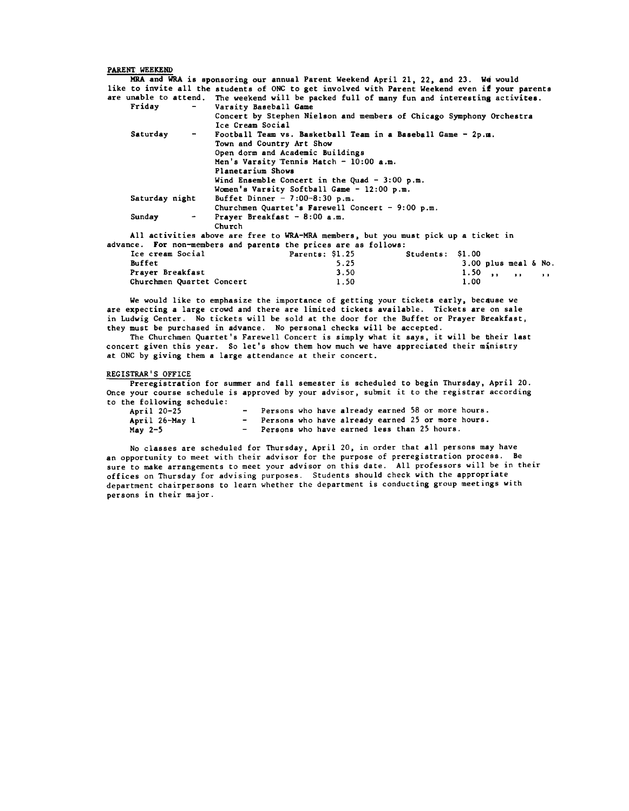PARENT WEEKEND MRA and WRA is sponsoring our annual Parent Weekend April 21, 22, and 23. *V4* would like to invite all the students of ONC to get involved with Parent Weekend even if your parents are unable to attend. The weekend will be packed full of many fun and interesting activites.<br>Friday  $-$  Varsity Baseball Game Varsity Baseball Game Concert by Stephen Nielson and members of Chicago Symphony Orchestra Ice Cream Social Saturday - Football Team vs. Basketball Team in a Baseball Game - 2p.m. Town and Country Art Show Open dorm and Academic Buildings Men's Varsity Tennis Match - 10:00 a.m. Planetarium Shows Wind Ensemble Concert in the Quad  $-3:00$  p.m. Women's Varsity Softball Game - 12:00 p.m. Saturday night Buffet Dinner - 7:00-8:30 p.m. Churchmen Quartet's Farewell Concert - 9:00 p.m. Sunday - Prayer Breakfast - 8:00 a.m. Church All activities above are free to WRA-MRA members, but you must pick up a ticket in advance. For non-members and parents the prices are as follows:<br>Ice cream Social **Parents: \$1.25** Students: \$1.00 Ice cream Social Parents: \$1.25<br>Buffet 5.25

Buffet 5.25 3.00 plus meal & No. Prayer Breakfast 3.50 1.50 ,, ,, ,, Churchmen Quartet Concert

We would like to emphasize the importance of getting your tickets early, because we are expecting a large crowd and there are limited tickets available. Tickets are on sale in Ludwig Center. No tickets will be sold at the door for the Buffet or Prayer Breakfast, they must be purchased in advance. No personal checks will be accepted.

The Churchmen Quartet's Farewell Concert is simply what it says, it will be their last concert given this year. So let's show them how much we have appreciated their ministry at ONC by giving them a large attendance at their concert.

### REGISTRAR'S OFFICE

Preregistration for summer and fall semester is scheduled to begin Thursday, April 20. Once your course schedule is approved by your advisor, submit it to the registrar according to the following schedule:

| April 20-25    | - Persons who have already earned 58 or more hours. |  |  |  |  |
|----------------|-----------------------------------------------------|--|--|--|--|
| April 26-May 1 | - Persons who have already earned 25 or more hours. |  |  |  |  |
| May $2-5$      | - Persons who have earned less than 25 hours.       |  |  |  |  |

No classes are scheduled for Thursday, April 20, in order that all persons may have an opportunity to meet with their advisor for the purpose of preregistration process. Be sure to make arrangements to meet your advisor on this date. All professors will be in their offices on Thursday for advising purposes. Students should check with the appropriate department chairpersons to learn whether the department is conducting group meetings with persons in their major.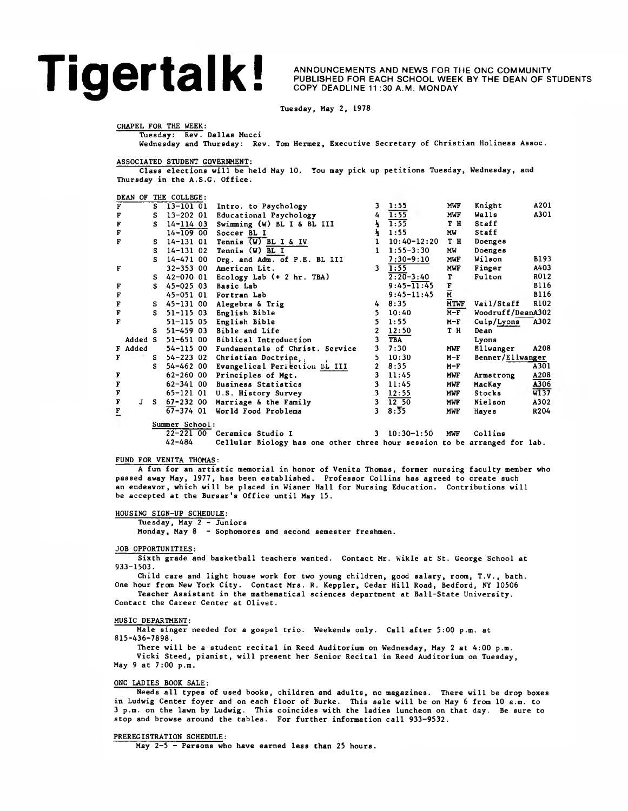## **Tigertalk ANNOUNCEMENTS AND NEWS FOR THE ONC COMMUNITY**<br>COPY DEADLINE 11:30 A.M. MONDAY

PUBLISHED FOR EACH SCHOOL WEEK BY THE DEAN OF STUDENTS COPY DEADLINE 11 :30 A.M. MONDAY

Tuesday, May 2, 1978

CHAPEL FOR THE WEEK:

Wednesday and Thursday: Rev. Tom Hermez, Executive Secretary of Christian Holiness Assoc.

ASSOCIATED STUDENT GOVERNMENT:

Tuesday: Rev. Dallas Mucci

Class elections will be held May 10, You may pick up petitions Tuesday, Wednesday, and Thursday in the A.S.G. Office.

DEAN OF THE COLLEGE:

| F              |         | s  | $13 - 10101$   | Intro. to Psychology                    | 3              | 1:55                      | MWF                             | Knight            | A201        |
|----------------|---------|----|----------------|-----------------------------------------|----------------|---------------------------|---------------------------------|-------------------|-------------|
| F              |         | s  | 13-202 01      | Educational Psychology                  | 4              | 1:55                      | <b>MWF</b>                      | Walls             | A301        |
| $\mathbf F$    |         | s  | $14 - 11403$   | Swimming (W) BL I & BL III              | 号              | 1:55                      | T H                             | Staff             |             |
| F              |         |    | $14 - 10900$   | Soccer BL I                             | 马              | 1:55                      | MW                              | Staff             |             |
| F              |         | s  | 14-131 01      | Tennis $(W)$ BL I & IV                  | $\mathbf{1}$   | $10:40 - 12:20$           | T H                             | Doenges           |             |
|                |         | s  | $14 - 13102$   | Tennis $(W)$ BL I                       | $\mathbf{1}$   | $1:55 - 3:30$             | MW                              | Doenges           |             |
|                |         | s  | 14-471 00      | Org. and Adm. of P.E. BL III            |                | $7:30 - 9:10$             | MWL                             | Wilson            | <b>B193</b> |
| F              |         |    | 32-353 00      | American Lit.                           | 3.             | 1:55                      | <b>MWF</b>                      | Finger            | A403        |
|                |         | S. | 42-070 01      | Ecology Lab $(+ 2 hr. TBA)$             |                | $2:20 - 3:40$             | T                               | Fulton            | R012        |
| F              |         | s  | $45 - 02503$   | Basic Lab                               |                | $9:45 - \overline{11:45}$ | $\frac{\mathbf{F}}{\mathbf{M}}$ |                   | <b>B116</b> |
| F              |         |    |                | 45-051 01 Fortran Lab                   |                | $9:45 - 11:45$            |                                 |                   | <b>B116</b> |
| F              |         | s  | 45-131 00      | Alegebra & Trig                         | 4              | 8:35                      | <b>MTWF</b>                     | Vail/Staff        | R102        |
| $\bf F$        |         | S. | 51-115 03      | English Bible                           | 5.             | 10:40                     | $M-F$                           | Woodruff/DeanA302 |             |
| F              |         |    | 51-115 05      | English Bible                           | 5.             | 1:55                      | $M-F$                           | Culp/Lyons        | A302        |
|                |         | S. | 51-459 03      | Bible and Life                          | $\mathbf{2}$   | 12:50                     | T H                             | Dean              |             |
|                | Added S |    | 51-651 00      | Biblical Introduction                   | 3              | <b>TBA</b>                |                                 | Lyons             |             |
|                | F Added |    | 54-115 00      | Fundamentals of Christ. Service         | 3              | 7:30                      | <b>MWF</b>                      | Ellwanger         | A208        |
| F              |         | s  | 54-223 02      | Christian Doctrine.                     | 5.             | 10:30                     | $M-F$                           | Benner/Ellwanger  |             |
|                |         | s  |                | 54-462 00 Evangelical Periection DL III | $\overline{2}$ | 8:35                      | $M-F$                           |                   | A301        |
| F              |         |    | 62-260 00      | Principles of Mgt.                      | 3              | 11:45                     | MWF                             | Armstrong         | A208        |
|                |         |    |                | 62-341 00 Business Statistics           | 3              | 11:45                     | <b>MWF</b>                      | MacKay            | A306        |
| F<br>F         |         |    | 65-121 01      | U.S. History Survey                     | 3              | 12:55                     | <b>MWL</b>                      | Stocks            | W137        |
| $\mathbf F$    | J       | s. |                | 67-232 00 Marriage & the Family         | $\mathbf{3}$   | 12, 50                    | <b>MWF</b>                      | Nielson           | A302        |
| $\overline{E}$ |         |    | $67 - 374$ 01  | World Food Problems                     | 3              | 8:35                      | MWF                             | Hayes             | R204        |
|                |         |    | Summer School: |                                         |                |                           |                                 |                   |             |
|                |         |    |                | 22-221 00 Ceramics Studio I             | 3              | $10:30 - 1:50$            | <b>MWF</b>                      | Collins           |             |
|                |         |    |                |                                         |                |                           |                                 |                   |             |

42-484 Cellular Biology has one other three hour session to be arranged for lab.

## FUND FOR VENITA THOMAS:

A fun for an artistic memorial in honor of Venita Thomas, former nursing faculty member who passed away May, 1977, has been established. Professor Collins has agreed to create such an endeavor, which will be placed in Wisner Hall for Nursing Education. Contributions will be accepted at the Bursar's Office until May 15.

HOUSING SIGN-UP SCHEDULE:

Tuesday, May 2 - Juniors

Monday, May 8 - Sophomores and second semester freshmen.

## JOB OPPORTUNITIES:

Sixth grade and basketball teachers wanted. Contact Mr. Wikle at St. George School at 933-1503.

Child care and light house work for two young children, good salary, room, T.V., bath. One hour from New York City. Contact Mrs. R. Keppler, Cedar Hill Road, Bedford, NY 10506

Teacher Assistant in the mathematical sciences department at Ball-State University. Contact the Career Center at Olivet.

## MUSIC DEPARTMENT:

Male singer needed for a gospel trio. Weekends only. Call after 5:00 p.m. at 815-436-7898.

There will be a student recital in Reed Auditorium on Wednesday, May 2 at 4:00 p.m. Vicki Steed, pianist, will present her Senior Recital in Reed Auditorium on Tuesday, May 9 at 7:00 p.m.

### ONC LADIES BOOK SALE:

Needs all types of used books, children and adults, no magazines. There will be drop boxes in Ludwig Center foyer and on each floor of Burke. This sale will be on May 6 from 10 a.m. to 3 p.m. on the lawn by Ludwig. This coincides with the ladies luncheon on that day. Be sure to stop and browse around the tables. For further information call 933-9532.

## PREREGISTRATION SCHEDULE:

May 2-5 - Persons who have earned less than 25 hours.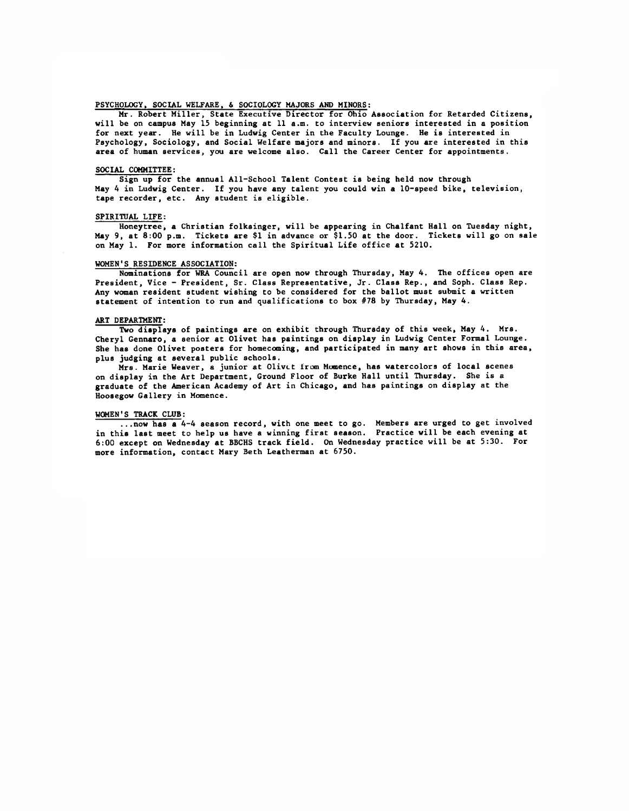## PSYCHOLOGY, SOCIAL WELFARE, & SOCIOLOGY MAJORS AMD MINORS:

Mr. Robert Miller, State Executive Director for Ohio Association for Retarded Citizens, will be on campus May 15 beginning at 11 a.m. to interview seniors interested in a position for next year. He will be in Ludwig Center in the Faculty Lounge. He is interested in Psychology, Sociology, and Social Welfare majors and minors. If you are interested in this area of human services, you are welcome also. Call the Career Center for appointments.

### SOCIAL COMMITTEE:

Sign up for the annual All-School Talent Contest is being held now through May 4 in Ludwig Center. If you have any talent you could win a 10-speed bike, television, tape recorder, etc. Any student is eligible.

### SPIRITUAL LIFE:

Honeytree, a Christian folksinger, will be appearing in Chalfant Hall on Tuesday night, May 9, at 8:00 p.m. Tickets are \$1 in advance or \$1.50 at the door. Tickets will go on sale on May 1. For more information call the Spiritual Life office at 5210.

### WOMEN'S RESIDENCE ASSOCIATION:

Nominations for WRA Council are open now through Thursday, May 4. The offices open are President, Vice - President, Sr. Class Representative, Jr. Class Rep., and Soph. Class Rep. Any woman resident student wishing to be considered for the ballot must submit a written statement of intention to run and qualifications to box #78 by Thursday, May 4.

## ART DEPARTMENT:

Two displays of paintings are on exhibit through Thursday of this week, May 4. Mrs. Cheryl Gennaro, a senior at Olivet has paintings on display in Ludwig Center Formal Lounge. She has done Olivet posters for homecoming, and participated in many art shows in this area, plus judging at several public schools.

Mrs. Marie Weaver, a junior at Olivet lrom Momence, has watercolors of local scenes on display in the Art Department, Ground Floor of Burke Hall until Thursday. She is a graduate of the American Academy of Art in Chicago, and has paintings on display at the Hoosegow Gallery in Momence.

### WOMEN'S TRACK CLUB:

...now has a 4-4 season record, with one meet to go. Members are urged to get involved in this last meet to help us have a winning first season. Practice will be each evening at 6:00 except on Wednesday at BBCHS track field. On Wednesday practice will be at 5:30. For more information, contact Mary Beth Leatherman at 6750.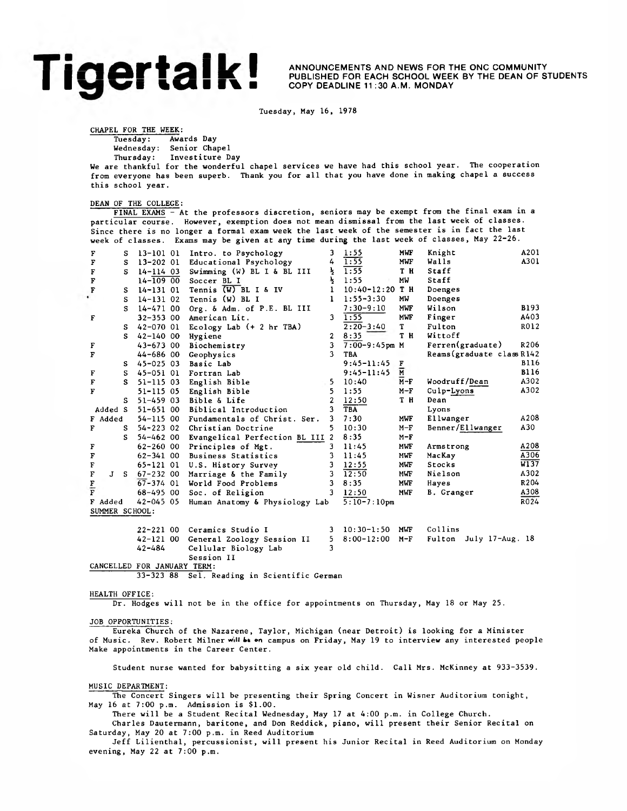## | | ■ | | 4 I ■ % ■ COPY DEADLINE 11 :30 A.M. MONDAY

ANNOUNCEMENTS AND NEWS FOR THE ONC COMMUNITY<br>PUBLISHED FOR EACH SCHOOL WEEK BY THE DEAN OF STUDENTS **EXECUTE: ANNOUNCEMENTS AND NEWS FOR THE ORD COMMUNITY** 

Tuesday, May 16, 1978

CHAPEL FOR THE WEEK:

Tuesday: Awards Day

Wednesday: Senior Chapel<br>Thursday: Investiture D Investiture Day

We are thankful for the wonderful chapel services we have had this school year. The cooperation

from everyone has been superb. Thank you for all that you have done in making chapel a success this school year.

## DEAN OF THE COLLEGE:

FINAL EXAMS - At the professors discretion, seniors may be exempt from the final exam in a particular course. However, exemption does not mean dismissal from the last week of classes. Since there is no longer a formal exam week the last week of the semester is in fact the last week of classes. Exams may be given at any time during the last week of classes, May 22-26.

| F                           | s  | 13-101 01     | Intro. to Psychology            | 3              | 1:55                      | <b>MWF</b>                | Knight                     | A201        |
|-----------------------------|----|---------------|---------------------------------|----------------|---------------------------|---------------------------|----------------------------|-------------|
| F                           | s  | $13 - 20201$  | Educational Psychology          | 4              | 1:55                      | MWF                       | Walls                      | A301        |
| $\mathbf F$                 | s  | $14 - 114$ 03 | Swimming (W) BL I & BL III      | ł              | 1:55                      | T H                       | Staff                      |             |
| $\mathbf F$                 |    | $14 - 10900$  | Soccer BL I                     | Ł              | 1:55                      | MW                        | Staff                      |             |
| $\overline{\textbf{F}}$     | s  | $14 - 13101$  | Tennis (W) BL I & IV            | 1              | $10:40 - 12:20$           | T H                       | Doenges                    |             |
|                             | s  | $14 - 13102$  | Tennis (W) BL I                 | 1              | $1:55 - 3:30$             | MW                        | Doenges                    |             |
|                             | s  | 14-471 00     | Org. & Adm. of P.E. BL III      |                | $7:30 - 9:10$             | MWF                       | Wilson                     | B193        |
| $\mathbf{F}$                |    | $32 - 35300$  | American Lit.                   | 3              | 1:55                      | MWF                       | Finger                     | A403        |
|                             | s  | 42-070 01     | Ecology Lab $(+ 2 hr TBA)$      |                | $2:20-3:40$               | T -                       | Fulton                     | R012        |
|                             | s  | $42 - 14000$  | Hygiene                         | $\overline{2}$ | 8:35                      | T H                       | Wittoff                    |             |
| F                           |    | $43 - 67300$  | Biochemistry                    | 3              | $7:00-9:45$ pm M          |                           | Ferren(graduate)           | R206        |
| F                           |    | $44 - 68600$  | Geophysics                      | 3              | <b>TBA</b>                |                           | Reams (graduate class R142 |             |
|                             | s  | 45-025 03     | Basic Lab                       |                | $9:45 - 11:45$            | F                         |                            | <b>B116</b> |
| F                           | s  | 45-051 01     | Fortran Lab                     |                | $9:45 - 11:45$            | $\overline{\overline{M}}$ |                            | B116        |
| F                           | s  | 51-115 03     | English Bible                   | 5              | 10:40                     | $M-F$                     | Woodruff/Dean              | A302        |
| F                           |    | 51-115 05     | English Bible                   | 5              | 1:55                      | $M-F$                     | Culp-Lyons                 | A302        |
|                             | s  | $51 - 45903$  | Bible & Life                    | $\overline{2}$ | 12:50                     | T H                       | Dean                       |             |
| Added S                     |    | 51-651 00     | Biblical Introduction           | 3              | TBA                       |                           | Lyons                      |             |
| F Added                     |    | $54 - 11500$  | Fundamentals of Christ. Ser.    | 3              | 7:30                      | MWF                       | Eliwanger                  | A208        |
| F                           | S. | $54 - 22302$  | Christian Doctrine              | 5.             | 10:30                     | $M-F$                     | Benner/Ellwanger           | A30         |
|                             | s  | $54 - 46200$  | Evangelical Perfection BL III 2 |                | 8:35                      | $M-F$                     |                            |             |
| F                           |    | $62 - 26000$  | Principles of Mgt.              | 3              | 11:45                     | MWF                       | Armstrong                  | A208        |
| F                           |    | $62 - 34100$  | <b>Business Statistics</b>      | ٦              | 11:45                     | MWF                       | MacKay                     | A306        |
| $\mathbf F$                 |    | $65 - 12101$  | U.S. History Survey             | 3              | 12:55                     | MWF                       | <b>Stocks</b>              | W137        |
| $\mathbf F$<br>$\mathbf{J}$ | S. | $67 - 23200$  | Marriage & the Family           | 3              | 12:50                     | MWF                       | Nielson                    | A302        |
| $\frac{F}{F}$               |    | $67 - 374$ 01 | World Food Problems             | 3              | 8:35                      | <b>MWF</b>                | Hayes                      | R204        |
|                             |    | $68 - 49500$  | Soc. of Religion                |                | $3 \quad 12:50$           | MWF                       | B. Granger                 | A308        |
| F Added                     |    | $42 - 045$ 05 | Human Anatomy & Physiology Lab  |                | $5:10-7:10$ <sub>pm</sub> |                           |                            | R024        |
| SUMMER SCHOOL:              |    |               |                                 |                |                           |                           |                            |             |
|                             |    | $22 - 22100$  | Ceramics Studio I               | 3.             | $10:30-1:50$              | MWF                       | Collins                    |             |
|                             |    | 42-121 00     | General Zoology Session II      | 5.             | $8:00 - 12:00$            | $M-F$                     | Fulton July 17-Aug. 18     |             |

42-484 Cellular Biology Lab 3 Session II

CANCELLED FOR JANUARY TERM:

33-323 88 Sel. Reading in Scientific German

HEALTH OFFICE:

Dr. Hodges will not be in the office for appointments on Thursday, May 18 or May 25.

## JOB OPPORTUNITIES:

Eureka Church of the Nazarene, Taylor, Michigan (near Detroit) is looking for a Minister of Music. Rev. Robert Milner will be on campus on Friday, May 19 to interview any interested people Make appointments in the Career Center.

Student nurse wanted for babysitting a six year old child. Call Mrs. McKinney at 933-3539.

MUSIC DEPARTMENT:

The Concert Singers will be presenting their Spring Concert in Wisner Auditorium tonight, May 16 at 7:00 p.m. Admission is \$1.00.

There will be a Student Recital Wednesday, May 17 at 4:00 p.m. in College Church.

Charles Dautermann, baritone, and Don Reddick, piano, will present their Senior Recital on Saturday, May 20 at 7:00 p.m. in Reed Auditorium

Jeff Lilienthal, percussionist, will present his Junior Recital in Reed Auditorium on Monday evening, May 22 at 7:00 p.m.